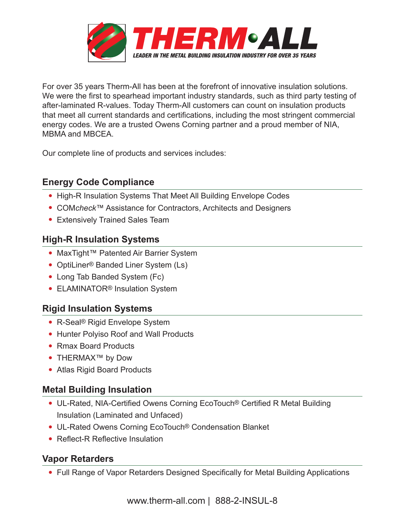

For over 35 years Therm-All has been at the forefront of innovative insulation solutions. We were the first to spearhead important industry standards, such as third party testing of after-laminated R-values. Today Therm-All customers can count on insulation products that meet all current standards and certifications, including the most stringent commercial energy codes. We are a trusted Owens Corning partner and a proud member of NIA, MBMA and MBCEA.

Our complete line of products and services includes:

# **Energy Code Compliance**

- High-R Insulation Systems That Meet All Building Envelope Codes
- COM*check*™ Assistance for Contractors, Architects and Designers
- Extensively Trained Sales Team

# **High-R Insulation Systems**

- MaxTight™ Patented Air Barrier System
- OptiLiner<sup>®</sup> Banded Liner System (Ls)
- Long Tab Banded System (Fc)
- ELAMINATOR<sup>®</sup> Insulation System

### **Rigid Insulation Systems**

- R-Seal® Rigid Envelope System
- Hunter Polyiso Roof and Wall Products
- Rmax Board Products
- THERMAX™ by Dow
- Atlas Rigid Board Products

#### **Metal Building Insulation**

- UL-Rated, NIA-Certified Owens Corning EcoTouch® Certified R Metal Building Insulation (Laminated and Unfaced)
- UL-Rated Owens Corning EcoTouch® Condensation Blanket
- Reflect-R Reflective Insulation

### **Vapor Retarders**

• Full Range of Vapor Retarders Designed Specifically for Metal Building Applications